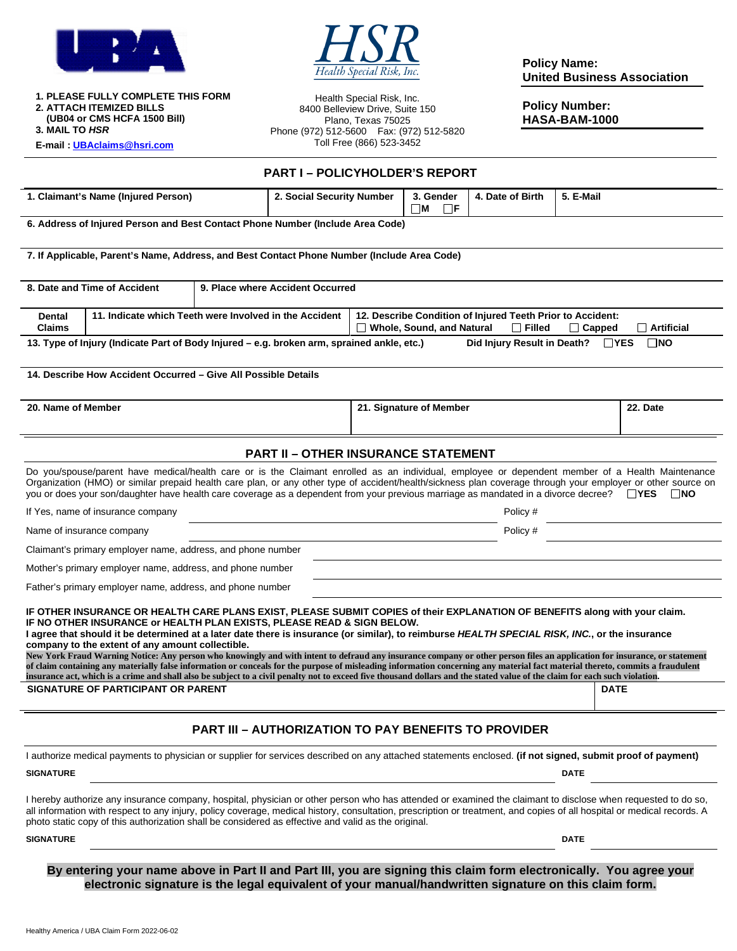



**1. PLEASE FULLY COMPLETE THIS FORM 2. ATTACH ITEMIZED BILLS (UB04 or CMS HCFA 1500 Bill) 3. MAIL TO** *HSR*  **E-mail : [UBAclaims@hsri.com](mailto:UBAclaims@hsri.com)**

Health Special Risk, Inc. 8400 Belleview Drive, Suite 150 Plano, Texas 75025 Phone (972) 512-5600 Fax: (972) 512-5820 Toll Free (866) 523-3452

**Policy Name: United Business Association** 

**Policy Number: HASA-BAM-1000** 

|                                                                                                                                                      |                                                                                                                                                                                                                                                                                                                                                                                                                                                                                                                                                                                                                                                                                                                                                                                                                                                                                                                                                           |  | <b>PART I - POLICYHOLDER'S REPORT</b>      |                                                                                                                                                       |                                   |                                                             |             |              |  |
|------------------------------------------------------------------------------------------------------------------------------------------------------|-----------------------------------------------------------------------------------------------------------------------------------------------------------------------------------------------------------------------------------------------------------------------------------------------------------------------------------------------------------------------------------------------------------------------------------------------------------------------------------------------------------------------------------------------------------------------------------------------------------------------------------------------------------------------------------------------------------------------------------------------------------------------------------------------------------------------------------------------------------------------------------------------------------------------------------------------------------|--|--------------------------------------------|-------------------------------------------------------------------------------------------------------------------------------------------------------|-----------------------------------|-------------------------------------------------------------|-------------|--------------|--|
| 1. Claimant's Name (Injured Person)                                                                                                                  |                                                                                                                                                                                                                                                                                                                                                                                                                                                                                                                                                                                                                                                                                                                                                                                                                                                                                                                                                           |  | 2. Social Security Number                  |                                                                                                                                                       | 3. Gender<br>$\Box$ M<br>$\Box$ e | 4. Date of Birth                                            | 5. E-Mail   |              |  |
|                                                                                                                                                      | 6. Address of Injured Person and Best Contact Phone Number (Include Area Code)                                                                                                                                                                                                                                                                                                                                                                                                                                                                                                                                                                                                                                                                                                                                                                                                                                                                            |  |                                            |                                                                                                                                                       |                                   |                                                             |             |              |  |
|                                                                                                                                                      | 7. If Applicable, Parent's Name, Address, and Best Contact Phone Number (Include Area Code)                                                                                                                                                                                                                                                                                                                                                                                                                                                                                                                                                                                                                                                                                                                                                                                                                                                               |  |                                            |                                                                                                                                                       |                                   |                                                             |             |              |  |
| 8. Date and Time of Accident<br>9. Place where Accident Occurred                                                                                     |                                                                                                                                                                                                                                                                                                                                                                                                                                                                                                                                                                                                                                                                                                                                                                                                                                                                                                                                                           |  |                                            |                                                                                                                                                       |                                   |                                                             |             |              |  |
| 11. Indicate which Teeth were Involved in the Accident<br>Dental<br><b>Claims</b>                                                                    |                                                                                                                                                                                                                                                                                                                                                                                                                                                                                                                                                                                                                                                                                                                                                                                                                                                                                                                                                           |  |                                            | 12. Describe Condition of Injured Teeth Prior to Accident:<br>$\Box$ Artificial<br><b>Whole, Sound, and Natural</b><br>$\Box$ Filled<br>$\Box$ Capped |                                   |                                                             |             |              |  |
| 13. Type of Injury (Indicate Part of Body Injured – e.g. broken arm, sprained ankle, etc.)<br>Did Injury Result in Death?<br>$\Box$ YES<br>$\Box$ NO |                                                                                                                                                                                                                                                                                                                                                                                                                                                                                                                                                                                                                                                                                                                                                                                                                                                                                                                                                           |  |                                            |                                                                                                                                                       |                                   |                                                             |             |              |  |
|                                                                                                                                                      | 14. Describe How Accident Occurred – Give All Possible Details                                                                                                                                                                                                                                                                                                                                                                                                                                                                                                                                                                                                                                                                                                                                                                                                                                                                                            |  |                                            |                                                                                                                                                       |                                   |                                                             |             |              |  |
| 20. Name of Member                                                                                                                                   |                                                                                                                                                                                                                                                                                                                                                                                                                                                                                                                                                                                                                                                                                                                                                                                                                                                                                                                                                           |  |                                            | 21. Signature of Member                                                                                                                               |                                   |                                                             |             | 22. Date     |  |
|                                                                                                                                                      |                                                                                                                                                                                                                                                                                                                                                                                                                                                                                                                                                                                                                                                                                                                                                                                                                                                                                                                                                           |  | <b>PART II - OTHER INSURANCE STATEMENT</b> |                                                                                                                                                       |                                   |                                                             |             |              |  |
|                                                                                                                                                      | Do you/spouse/parent have medical/health care or is the Claimant enrolled as an individual, employee or dependent member of a Health Maintenance<br>Organization (HMO) or similar prepaid health care plan, or any other type of accident/health/sickness plan coverage through your employer or other source on<br>you or does your son/daughter have health care coverage as a dependent from your previous marriage as mandated in a divorce decree? $\Box$ YES                                                                                                                                                                                                                                                                                                                                                                                                                                                                                        |  |                                            |                                                                                                                                                       |                                   |                                                             |             | $\square$ NO |  |
|                                                                                                                                                      | If Yes, name of insurance company                                                                                                                                                                                                                                                                                                                                                                                                                                                                                                                                                                                                                                                                                                                                                                                                                                                                                                                         |  |                                            |                                                                                                                                                       |                                   | Policy #                                                    |             |              |  |
| Name of insurance company                                                                                                                            |                                                                                                                                                                                                                                                                                                                                                                                                                                                                                                                                                                                                                                                                                                                                                                                                                                                                                                                                                           |  |                                            | Policy #                                                                                                                                              |                                   |                                                             |             |              |  |
| Claimant's primary employer name, address, and phone number                                                                                          |                                                                                                                                                                                                                                                                                                                                                                                                                                                                                                                                                                                                                                                                                                                                                                                                                                                                                                                                                           |  |                                            |                                                                                                                                                       |                                   |                                                             |             |              |  |
|                                                                                                                                                      | Mother's primary employer name, address, and phone number                                                                                                                                                                                                                                                                                                                                                                                                                                                                                                                                                                                                                                                                                                                                                                                                                                                                                                 |  |                                            |                                                                                                                                                       |                                   |                                                             |             |              |  |
|                                                                                                                                                      | Father's primary employer name, address, and phone number                                                                                                                                                                                                                                                                                                                                                                                                                                                                                                                                                                                                                                                                                                                                                                                                                                                                                                 |  |                                            |                                                                                                                                                       |                                   |                                                             |             |              |  |
|                                                                                                                                                      | IF OTHER INSURANCE OR HEALTH CARE PLANS EXIST, PLEASE SUBMIT COPIES of their EXPLANATION OF BENEFITS along with your claim.<br>IF NO OTHER INSURANCE or HEALTH PLAN EXISTS, PLEASE READ & SIGN BELOW.<br>I agree that should it be determined at a later date there is insurance (or similar), to reimburse HEALTH SPECIAL RISK, INC., or the insurance<br>company to the extent of any amount collectible.<br>New York Fraud Warning Notice: Any person who knowingly and with intent to defraud any insurance company or other person files an application for insurance, or statement<br>of claim containing any materially false information or conceals for the purpose of misleading information concerning any material fact material thereto, commits a fraudulent<br>insurance act, which is a crime and shall also be subject to a civil penalty not to exceed five thousand dollars and the stated value of the claim for each such violation. |  |                                            |                                                                                                                                                       |                                   |                                                             |             |              |  |
|                                                                                                                                                      | SIGNATURE OF PARTICIPANT OR PARENT                                                                                                                                                                                                                                                                                                                                                                                                                                                                                                                                                                                                                                                                                                                                                                                                                                                                                                                        |  |                                            |                                                                                                                                                       |                                   |                                                             | <b>DATE</b> |              |  |
|                                                                                                                                                      |                                                                                                                                                                                                                                                                                                                                                                                                                                                                                                                                                                                                                                                                                                                                                                                                                                                                                                                                                           |  |                                            |                                                                                                                                                       |                                   | <b>PART III – AUTHORIZATION TO PAY BENEFITS TO PROVIDER</b> |             |              |  |
|                                                                                                                                                      | I authorize medical payments to physician or supplier for services described on any attached statements enclosed. (if not signed, submit proof of payment)                                                                                                                                                                                                                                                                                                                                                                                                                                                                                                                                                                                                                                                                                                                                                                                                |  |                                            |                                                                                                                                                       |                                   |                                                             |             |              |  |
| <b>SIGNATURE</b>                                                                                                                                     |                                                                                                                                                                                                                                                                                                                                                                                                                                                                                                                                                                                                                                                                                                                                                                                                                                                                                                                                                           |  |                                            |                                                                                                                                                       | <b>DATE</b>                       |                                                             |             |              |  |
|                                                                                                                                                      | I hereby authorize any insurance company, hospital, physician or other person who has attended or examined the claimant to disclose when requested to do so,<br>all information with respect to any injury, policy coverage, medical history, consultation, prescription or treatment, and copies of all hospital or medical records. A<br>photo static copy of this authorization shall be considered as effective and valid as the original.                                                                                                                                                                                                                                                                                                                                                                                                                                                                                                            |  |                                            |                                                                                                                                                       |                                   |                                                             |             |              |  |
| <b>SIGNATURE</b>                                                                                                                                     |                                                                                                                                                                                                                                                                                                                                                                                                                                                                                                                                                                                                                                                                                                                                                                                                                                                                                                                                                           |  |                                            |                                                                                                                                                       |                                   |                                                             | <b>DATE</b> |              |  |
|                                                                                                                                                      |                                                                                                                                                                                                                                                                                                                                                                                                                                                                                                                                                                                                                                                                                                                                                                                                                                                                                                                                                           |  |                                            |                                                                                                                                                       |                                   |                                                             |             |              |  |

**By entering your name above in Part II and Part III, you are signing this claim form electronically. You agree your electronic signature is the legal equivalent of your manual/handwritten signature on this claim form.**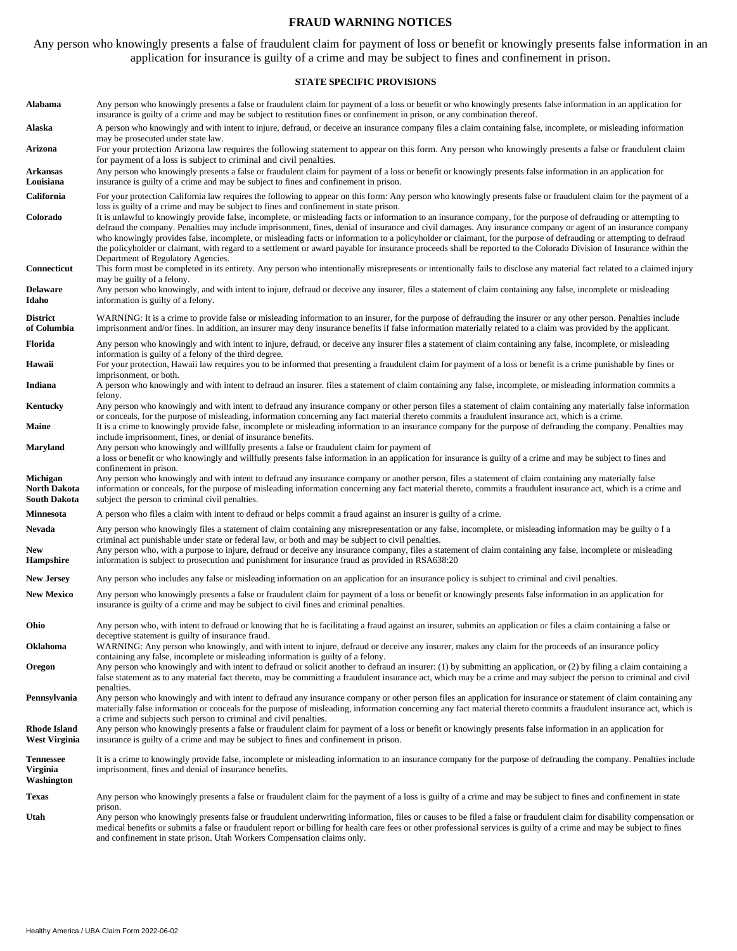### **FRAUD WARNING NOTICES**

Any person who knowingly presents a false of fraudulent claim for payment of loss or benefit or knowingly presents false information in an application for insurance is guilty of a crime and may be subject to fines and confinement in prison.

#### **STATE SPECIFIC PROVISIONS**

| Alabama                                    | Any person who knowingly presents a false or fraudulent claim for payment of a loss or benefit or who knowingly presents false information in an application for<br>insurance is guilty of a crime and may be subject to restitution fines or confinement in prison, or any combination thereof.                                                                                                                                                                                                                                                                                                                                                                                                                                                                                                                 |  |  |  |  |  |  |
|--------------------------------------------|------------------------------------------------------------------------------------------------------------------------------------------------------------------------------------------------------------------------------------------------------------------------------------------------------------------------------------------------------------------------------------------------------------------------------------------------------------------------------------------------------------------------------------------------------------------------------------------------------------------------------------------------------------------------------------------------------------------------------------------------------------------------------------------------------------------|--|--|--|--|--|--|
| Alaska                                     | A person who knowingly and with intent to injure, defraud, or deceive an insurance company files a claim containing false, incomplete, or misleading information<br>may be prosecuted under state law.                                                                                                                                                                                                                                                                                                                                                                                                                                                                                                                                                                                                           |  |  |  |  |  |  |
| Arizona                                    | For your protection Arizona law requires the following statement to appear on this form. Any person who knowingly presents a false or fraudulent claim<br>for payment of a loss is subject to criminal and civil penalties.                                                                                                                                                                                                                                                                                                                                                                                                                                                                                                                                                                                      |  |  |  |  |  |  |
| Arkansas<br>Louisiana                      | Any person who knowingly presents a false or fraudulent claim for payment of a loss or benefit or knowingly presents false information in an application for<br>insurance is guilty of a crime and may be subject to fines and confinement in prison.                                                                                                                                                                                                                                                                                                                                                                                                                                                                                                                                                            |  |  |  |  |  |  |
| California                                 | For your protection California law requires the following to appear on this form: Any person who knowingly presents false or fraudulent claim for the payment of a                                                                                                                                                                                                                                                                                                                                                                                                                                                                                                                                                                                                                                               |  |  |  |  |  |  |
| Colorado                                   | loss is guilty of a crime and may be subject to fines and confinement in state prison.<br>It is unlawful to knowingly provide false, incomplete, or misleading facts or information to an insurance company, for the purpose of defrauding or attempting to<br>defraud the company. Penalties may include imprisonment, fines, denial of insurance and civil damages. Any insurance company or agent of an insurance company<br>who knowingly provides false, incomplete, or misleading facts or information to a policyholder or claimant, for the purpose of defrauding or attempting to defraud<br>the policyholder or claimant, with regard to a settlement or award payable for insurance proceeds shall be reported to the Colorado Division of Insurance within the<br>Department of Regulatory Agencies. |  |  |  |  |  |  |
| Connecticut                                | This form must be completed in its entirety. Any person who intentionally misrepresents or intentionally fails to disclose any material fact related to a claimed injury<br>may be guilty of a felony.                                                                                                                                                                                                                                                                                                                                                                                                                                                                                                                                                                                                           |  |  |  |  |  |  |
| Delaware<br>Idaho                          | Any person who knowingly, and with intent to injure, defraud or deceive any insurer, files a statement of claim containing any false, incomplete or misleading<br>information is guilty of a felony.                                                                                                                                                                                                                                                                                                                                                                                                                                                                                                                                                                                                             |  |  |  |  |  |  |
| <b>District</b><br>of Columbia             | WARNING: It is a crime to provide false or misleading information to an insurer, for the purpose of defrauding the insurer or any other person. Penalties include<br>imprisonment and/or fines. In addition, an insurer may deny insurance benefits if false information materially related to a claim was provided by the applicant.                                                                                                                                                                                                                                                                                                                                                                                                                                                                            |  |  |  |  |  |  |
| Florida                                    | Any person who knowingly and with intent to injure, defraud, or deceive any insurer files a statement of claim containing any false, incomplete, or misleading<br>information is guilty of a felony of the third degree.                                                                                                                                                                                                                                                                                                                                                                                                                                                                                                                                                                                         |  |  |  |  |  |  |
| Hawaii                                     | For your protection, Hawaii law requires you to be informed that presenting a fraudulent claim for payment of a loss or benefit is a crime punishable by fines or<br>imprisonment, or both.                                                                                                                                                                                                                                                                                                                                                                                                                                                                                                                                                                                                                      |  |  |  |  |  |  |
| Indiana                                    | A person who knowingly and with intent to defraud an insurer. files a statement of claim containing any false, incomplete, or misleading information commits a<br>felony.                                                                                                                                                                                                                                                                                                                                                                                                                                                                                                                                                                                                                                        |  |  |  |  |  |  |
| Kentucky                                   | Any person who knowingly and with intent to defraud any insurance company or other person files a statement of claim containing any materially false information<br>or conceals, for the purpose of misleading, information concerning any fact material thereto commits a fraudulent insurance act, which is a crime.                                                                                                                                                                                                                                                                                                                                                                                                                                                                                           |  |  |  |  |  |  |
| <b>Maine</b>                               | It is a crime to knowingly provide false, incomplete or misleading information to an insurance company for the purpose of defrauding the company. Penalties may<br>include imprisonment, fines, or denial of insurance benefits.                                                                                                                                                                                                                                                                                                                                                                                                                                                                                                                                                                                 |  |  |  |  |  |  |
| Maryland                                   | Any person who knowingly and willfully presents a false or fraudulent claim for payment of<br>a loss or benefit or who knowingly and willfully presents false information in an application for insurance is guilty of a crime and may be subject to fines and<br>confinement in prison.                                                                                                                                                                                                                                                                                                                                                                                                                                                                                                                         |  |  |  |  |  |  |
| Michigan<br>North Dakota<br>South Dakota   | Any person who knowingly and with intent to defraud any insurance company or another person, files a statement of claim containing any materially false<br>information or conceals, for the purpose of misleading information concerning any fact material thereto, commits a fraudulent insurance act, which is a crime and<br>subject the person to criminal civil penalties.                                                                                                                                                                                                                                                                                                                                                                                                                                  |  |  |  |  |  |  |
| Minnesota                                  | A person who files a claim with intent to defraud or helps commit a fraud against an insurer is guilty of a crime.                                                                                                                                                                                                                                                                                                                                                                                                                                                                                                                                                                                                                                                                                               |  |  |  |  |  |  |
| Nevada<br>New<br>Hampshire                 | Any person who knowingly files a statement of claim containing any misrepresentation or any false, incomplete, or misleading information may be guilty of a<br>criminal act punishable under state or federal law, or both and may be subject to civil penalties.<br>Any person who, with a purpose to injure, defraud or deceive any insurance company, files a statement of claim containing any false, incomplete or misleading<br>information is subject to prosecution and punishment for insurance fraud as provided in RSA638:20                                                                                                                                                                                                                                                                          |  |  |  |  |  |  |
| <b>New Jersey</b>                          | Any person who includes any false or misleading information on an application for an insurance policy is subject to criminal and civil penalties.                                                                                                                                                                                                                                                                                                                                                                                                                                                                                                                                                                                                                                                                |  |  |  |  |  |  |
| <b>New Mexico</b>                          | Any person who knowingly presents a false or fraudulent claim for payment of a loss or benefit or knowingly presents false information in an application for<br>insurance is guilty of a crime and may be subject to civil fines and criminal penalties.                                                                                                                                                                                                                                                                                                                                                                                                                                                                                                                                                         |  |  |  |  |  |  |
| Ohio                                       | Any person who, with intent to defraud or knowing that he is facilitating a fraud against an insurer, submits an application or files a claim containing a false or<br>deceptive statement is guilty of insurance fraud.                                                                                                                                                                                                                                                                                                                                                                                                                                                                                                                                                                                         |  |  |  |  |  |  |
| Oklahoma                                   | WARNING: Any person who knowingly, and with intent to injure, defraud or deceive any insurer, makes any claim for the proceeds of an insurance policy<br>containing any false, incomplete or misleading information is guilty of a felony.                                                                                                                                                                                                                                                                                                                                                                                                                                                                                                                                                                       |  |  |  |  |  |  |
| Oregon                                     | Any person who knowingly and with intent to defraud or solicit another to defraud an insurer: (1) by submitting an application, or (2) by filing a claim containing a<br>false statement as to any material fact thereto, may be committing a fraudulent insurance act, which may be a crime and may subject the person to criminal and civil                                                                                                                                                                                                                                                                                                                                                                                                                                                                    |  |  |  |  |  |  |
| Pennsylvania                               | penalties.<br>Any person who knowingly and with intent to defraud any insurance company or other person files an application for insurance or statement of claim containing any<br>materially false information or conceals for the purpose of misleading, information concerning any fact material thereto commits a fraudulent insurance act, which is<br>a crime and subjects such person to criminal and civil penalties.                                                                                                                                                                                                                                                                                                                                                                                    |  |  |  |  |  |  |
| <b>Rhode Island</b><br>West Virginia       | Any person who knowingly presents a false or fraudulent claim for payment of a loss or benefit or knowingly presents false information in an application for<br>insurance is guilty of a crime and may be subject to fines and confinement in prison.                                                                                                                                                                                                                                                                                                                                                                                                                                                                                                                                                            |  |  |  |  |  |  |
| <b>Tennessee</b><br>Virginia<br>Washington | It is a crime to knowingly provide false, incomplete or misleading information to an insurance company for the purpose of defrauding the company. Penalties include<br>imprisonment, fines and denial of insurance benefits.                                                                                                                                                                                                                                                                                                                                                                                                                                                                                                                                                                                     |  |  |  |  |  |  |
| Texas                                      | Any person who knowingly presents a false or fraudulent claim for the payment of a loss is guilty of a crime and may be subject to fines and confinement in state                                                                                                                                                                                                                                                                                                                                                                                                                                                                                                                                                                                                                                                |  |  |  |  |  |  |
| Utah                                       | prison.<br>Any person who knowingly presents false or fraudulent underwriting information, files or causes to be filed a false or fraudulent claim for disability compensation or<br>medical benefits or submits a false or fraudulent report or billing for health care fees or other professional services is guilty of a crime and may be subject to fines<br>and confinement in state prison. Utah Workers Compensation claims only.                                                                                                                                                                                                                                                                                                                                                                         |  |  |  |  |  |  |